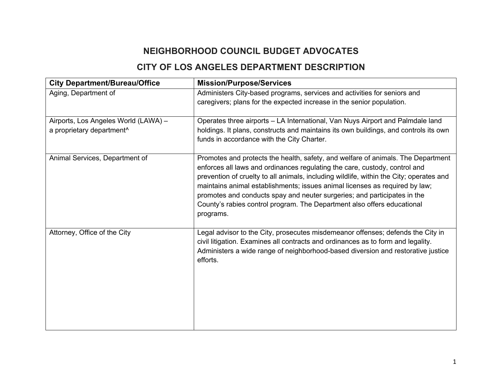## **NEIGHBORHOOD COUNCIL BUDGET ADVOCATES**

## **CITY OF LOS ANGELES DEPARTMENT DESCRIPTION**

| <b>City Department/Bureau/Office</b>                                          | <b>Mission/Purpose/Services</b>                                                                                                                                                                                                                                                                                                                                                                                                                                                                              |
|-------------------------------------------------------------------------------|--------------------------------------------------------------------------------------------------------------------------------------------------------------------------------------------------------------------------------------------------------------------------------------------------------------------------------------------------------------------------------------------------------------------------------------------------------------------------------------------------------------|
| Aging, Department of                                                          | Administers City-based programs, services and activities for seniors and<br>caregivers; plans for the expected increase in the senior population.                                                                                                                                                                                                                                                                                                                                                            |
| Airports, Los Angeles World (LAWA) -<br>a proprietary department <sup>^</sup> | Operates three airports - LA International, Van Nuys Airport and Palmdale land<br>holdings. It plans, constructs and maintains its own buildings, and controls its own<br>funds in accordance with the City Charter.                                                                                                                                                                                                                                                                                         |
| Animal Services, Department of                                                | Promotes and protects the health, safety, and welfare of animals. The Department<br>enforces all laws and ordinances regulating the care, custody, control and<br>prevention of cruelty to all animals, including wildlife, within the City; operates and<br>maintains animal establishments; issues animal licenses as required by law;<br>promotes and conducts spay and neuter surgeries; and participates in the<br>County's rabies control program. The Department also offers educational<br>programs. |
| Attorney, Office of the City                                                  | Legal advisor to the City, prosecutes misdemeanor offenses; defends the City in<br>civil litigation. Examines all contracts and ordinances as to form and legality.<br>Administers a wide range of neighborhood-based diversion and restorative justice<br>efforts.                                                                                                                                                                                                                                          |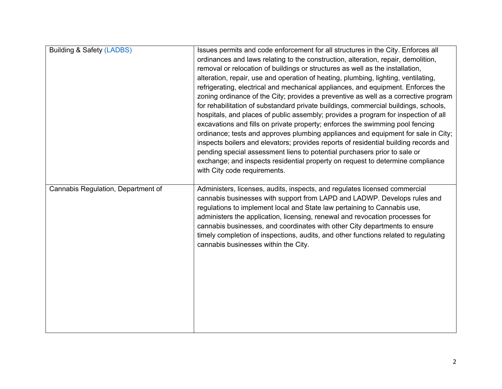| <b>Building &amp; Safety (LADBS)</b> | Issues permits and code enforcement for all structures in the City. Enforces all<br>ordinances and laws relating to the construction, alteration, repair, demolition,<br>removal or relocation of buildings or structures as well as the installation,<br>alteration, repair, use and operation of heating, plumbing, lighting, ventilating,<br>refrigerating, electrical and mechanical appliances, and equipment. Enforces the<br>zoning ordinance of the City; provides a preventive as well as a corrective program<br>for rehabilitation of substandard private buildings, commercial buildings, schools,<br>hospitals, and places of public assembly; provides a program for inspection of all<br>excavations and fills on private property; enforces the swimming pool fencing<br>ordinance; tests and approves plumbing appliances and equipment for sale in City;<br>inspects boilers and elevators; provides reports of residential building records and<br>pending special assessment liens to potential purchasers prior to sale or<br>exchange; and inspects residential property on request to determine compliance<br>with City code requirements. |
|--------------------------------------|-------------------------------------------------------------------------------------------------------------------------------------------------------------------------------------------------------------------------------------------------------------------------------------------------------------------------------------------------------------------------------------------------------------------------------------------------------------------------------------------------------------------------------------------------------------------------------------------------------------------------------------------------------------------------------------------------------------------------------------------------------------------------------------------------------------------------------------------------------------------------------------------------------------------------------------------------------------------------------------------------------------------------------------------------------------------------------------------------------------------------------------------------------------------|
| Cannabis Regulation, Department of   | Administers, licenses, audits, inspects, and regulates licensed commercial<br>cannabis businesses with support from LAPD and LADWP. Develops rules and<br>regulations to implement local and State law pertaining to Cannabis use,<br>administers the application, licensing, renewal and revocation processes for<br>cannabis businesses, and coordinates with other City departments to ensure<br>timely completion of inspections, audits, and other functions related to regulating<br>cannabis businesses within the City.                                                                                                                                                                                                                                                                                                                                                                                                                                                                                                                                                                                                                                   |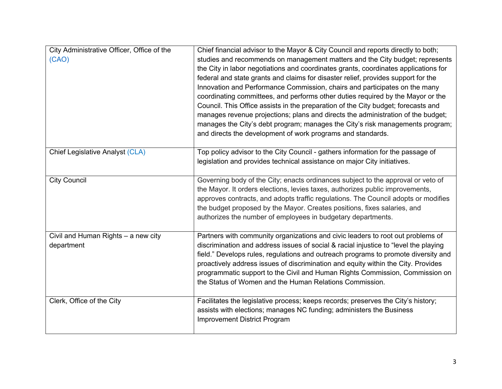| City Administrative Officer, Office of the<br>(CAO) | Chief financial advisor to the Mayor & City Council and reports directly to both;<br>studies and recommends on management matters and the City budget; represents<br>the City in labor negotiations and coordinates grants, coordinates applications for<br>federal and state grants and claims for disaster relief, provides support for the<br>Innovation and Performance Commission, chairs and participates on the many<br>coordinating committees, and performs other duties required by the Mayor or the<br>Council. This Office assists in the preparation of the City budget; forecasts and<br>manages revenue projections; plans and directs the administration of the budget;<br>manages the City's debt program; manages the City's risk managements program;<br>and directs the development of work programs and standards. |
|-----------------------------------------------------|-----------------------------------------------------------------------------------------------------------------------------------------------------------------------------------------------------------------------------------------------------------------------------------------------------------------------------------------------------------------------------------------------------------------------------------------------------------------------------------------------------------------------------------------------------------------------------------------------------------------------------------------------------------------------------------------------------------------------------------------------------------------------------------------------------------------------------------------|
| Chief Legislative Analyst (CLA)                     | Top policy advisor to the City Council - gathers information for the passage of<br>legislation and provides technical assistance on major City initiatives.                                                                                                                                                                                                                                                                                                                                                                                                                                                                                                                                                                                                                                                                             |
| <b>City Council</b>                                 | Governing body of the City; enacts ordinances subject to the approval or veto of<br>the Mayor. It orders elections, levies taxes, authorizes public improvements,<br>approves contracts, and adopts traffic regulations. The Council adopts or modifies<br>the budget proposed by the Mayor. Creates positions, fixes salaries, and<br>authorizes the number of employees in budgetary departments.                                                                                                                                                                                                                                                                                                                                                                                                                                     |
| Civil and Human Rights $-$ a new city<br>department | Partners with community organizations and civic leaders to root out problems of<br>discrimination and address issues of social & racial injustice to "level the playing<br>field." Develops rules, regulations and outreach programs to promote diversity and<br>proactively address issues of discrimination and equity within the City. Provides<br>programmatic support to the Civil and Human Rights Commission, Commission on<br>the Status of Women and the Human Relations Commission.                                                                                                                                                                                                                                                                                                                                           |
| Clerk, Office of the City                           | Facilitates the legislative process; keeps records; preserves the City's history;<br>assists with elections; manages NC funding; administers the Business<br>Improvement District Program                                                                                                                                                                                                                                                                                                                                                                                                                                                                                                                                                                                                                                               |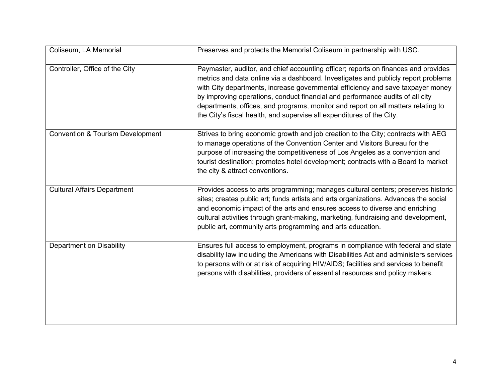| Coliseum, LA Memorial                       | Preserves and protects the Memorial Coliseum in partnership with USC.                                                                                                                                                                                                                                                                                                                                                                                                                                      |
|---------------------------------------------|------------------------------------------------------------------------------------------------------------------------------------------------------------------------------------------------------------------------------------------------------------------------------------------------------------------------------------------------------------------------------------------------------------------------------------------------------------------------------------------------------------|
| Controller, Office of the City              | Paymaster, auditor, and chief accounting officer; reports on finances and provides<br>metrics and data online via a dashboard. Investigates and publicly report problems<br>with City departments, increase governmental efficiency and save taxpayer money<br>by improving operations, conduct financial and performance audits of all city<br>departments, offices, and programs, monitor and report on all matters relating to<br>the City's fiscal health, and supervise all expenditures of the City. |
| <b>Convention &amp; Tourism Development</b> | Strives to bring economic growth and job creation to the City; contracts with AEG<br>to manage operations of the Convention Center and Visitors Bureau for the<br>purpose of increasing the competitiveness of Los Angeles as a convention and<br>tourist destination; promotes hotel development; contracts with a Board to market<br>the city & attract conventions.                                                                                                                                     |
| <b>Cultural Affairs Department</b>          | Provides access to arts programming; manages cultural centers; preserves historic<br>sites; creates public art; funds artists and arts organizations. Advances the social<br>and economic impact of the arts and ensures access to diverse and enriching<br>cultural activities through grant-making, marketing, fundraising and development,<br>public art, community arts programming and arts education.                                                                                                |
| <b>Department on Disability</b>             | Ensures full access to employment, programs in compliance with federal and state<br>disability law including the Americans with Disabilities Act and administers services<br>to persons with or at risk of acquiring HIV/AIDS; facilities and services to benefit<br>persons with disabilities, providers of essential resources and policy makers.                                                                                                                                                        |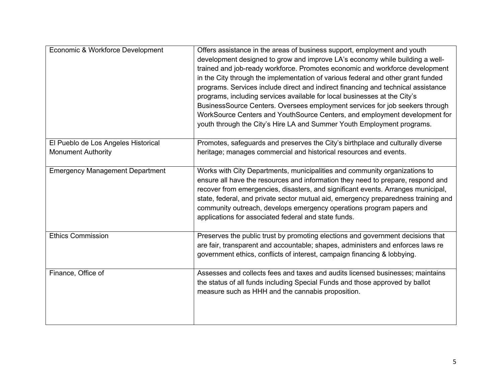| Economic & Workforce Development                                 | Offers assistance in the areas of business support, employment and youth<br>development designed to grow and improve LA's economy while building a well-<br>trained and job-ready workforce. Promotes economic and workforce development<br>in the City through the implementation of various federal and other grant funded<br>programs. Services include direct and indirect financing and technical assistance<br>programs, including services available for local businesses at the City's<br>BusinessSource Centers. Oversees employment services for job seekers through<br>WorkSource Centers and YouthSource Centers, and employment development for<br>youth through the City's Hire LA and Summer Youth Employment programs. |
|------------------------------------------------------------------|----------------------------------------------------------------------------------------------------------------------------------------------------------------------------------------------------------------------------------------------------------------------------------------------------------------------------------------------------------------------------------------------------------------------------------------------------------------------------------------------------------------------------------------------------------------------------------------------------------------------------------------------------------------------------------------------------------------------------------------|
| El Pueblo de Los Angeles Historical<br><b>Monument Authority</b> | Promotes, safeguards and preserves the City's birthplace and culturally diverse<br>heritage; manages commercial and historical resources and events.                                                                                                                                                                                                                                                                                                                                                                                                                                                                                                                                                                                   |
| <b>Emergency Management Department</b>                           | Works with City Departments, municipalities and community organizations to<br>ensure all have the resources and information they need to prepare, respond and<br>recover from emergencies, disasters, and significant events. Arranges municipal,<br>state, federal, and private sector mutual aid, emergency preparedness training and<br>community outreach, develops emergency operations program papers and<br>applications for associated federal and state funds.                                                                                                                                                                                                                                                                |
| <b>Ethics Commission</b>                                         | Preserves the public trust by promoting elections and government decisions that<br>are fair, transparent and accountable; shapes, administers and enforces laws re<br>government ethics, conflicts of interest, campaign financing & lobbying.                                                                                                                                                                                                                                                                                                                                                                                                                                                                                         |
| Finance, Office of                                               | Assesses and collects fees and taxes and audits licensed businesses; maintains<br>the status of all funds including Special Funds and those approved by ballot<br>measure such as HHH and the cannabis proposition.                                                                                                                                                                                                                                                                                                                                                                                                                                                                                                                    |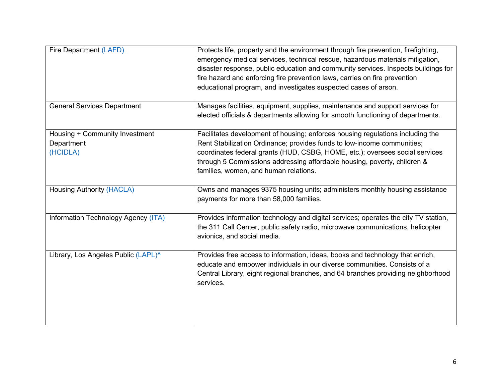| Fire Department (LAFD)                                   | Protects life, property and the environment through fire prevention, firefighting,<br>emergency medical services, technical rescue, hazardous materials mitigation,<br>disaster response, public education and community services. Inspects buildings for<br>fire hazard and enforcing fire prevention laws, carries on fire prevention<br>educational program, and investigates suspected cases of arson. |
|----------------------------------------------------------|------------------------------------------------------------------------------------------------------------------------------------------------------------------------------------------------------------------------------------------------------------------------------------------------------------------------------------------------------------------------------------------------------------|
| <b>General Services Department</b>                       | Manages facilities, equipment, supplies, maintenance and support services for<br>elected officials & departments allowing for smooth functioning of departments.                                                                                                                                                                                                                                           |
| Housing + Community Investment<br>Department<br>(HCIDLA) | Facilitates development of housing; enforces housing regulations including the<br>Rent Stabilization Ordinance; provides funds to low-income communities;<br>coordinates federal grants (HUD, CSBG, HOME, etc.); oversees social services<br>through 5 Commissions addressing affordable housing, poverty, children &<br>families, women, and human relations.                                             |
| <b>Housing Authority (HACLA)</b>                         | Owns and manages 9375 housing units; administers monthly housing assistance<br>payments for more than 58,000 families.                                                                                                                                                                                                                                                                                     |
| Information Technology Agency (ITA)                      | Provides information technology and digital services; operates the city TV station,<br>the 311 Call Center, public safety radio, microwave communications, helicopter<br>avionics, and social media.                                                                                                                                                                                                       |
| Library, Los Angeles Public (LAPL)^                      | Provides free access to information, ideas, books and technology that enrich,<br>educate and empower individuals in our diverse communities. Consists of a<br>Central Library, eight regional branches, and 64 branches providing neighborhood<br>services.                                                                                                                                                |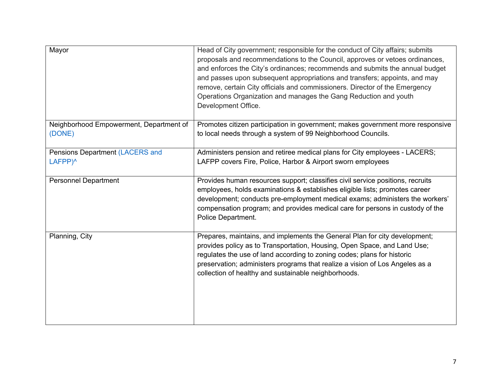| Mayor                                                         | Head of City government; responsible for the conduct of City affairs; submits<br>proposals and recommendations to the Council, approves or vetoes ordinances,<br>and enforces the City's ordinances; recommends and submits the annual budget<br>and passes upon subsequent appropriations and transfers; appoints, and may<br>remove, certain City officials and commissioners. Director of the Emergency<br>Operations Organization and manages the Gang Reduction and youth<br>Development Office. |
|---------------------------------------------------------------|-------------------------------------------------------------------------------------------------------------------------------------------------------------------------------------------------------------------------------------------------------------------------------------------------------------------------------------------------------------------------------------------------------------------------------------------------------------------------------------------------------|
| Neighborhood Empowerment, Department of<br>(DONE)             | Promotes citizen participation in government; makes government more responsive<br>to local needs through a system of 99 Neighborhood Councils.                                                                                                                                                                                                                                                                                                                                                        |
| <b>Pensions Department (LACERS and</b><br>LAFPP) <sup>^</sup> | Administers pension and retiree medical plans for City employees - LACERS;<br>LAFPP covers Fire, Police, Harbor & Airport sworn employees                                                                                                                                                                                                                                                                                                                                                             |
| <b>Personnel Department</b>                                   | Provides human resources support; classifies civil service positions, recruits<br>employees, holds examinations & establishes eligible lists; promotes career<br>development; conducts pre-employment medical exams; administers the workers'<br>compensation program; and provides medical care for persons in custody of the<br>Police Department.                                                                                                                                                  |
| Planning, City                                                | Prepares, maintains, and implements the General Plan for city development;<br>provides policy as to Transportation, Housing, Open Space, and Land Use;<br>regulates the use of land according to zoning codes; plans for historic<br>preservation; administers programs that realize a vision of Los Angeles as a<br>collection of healthy and sustainable neighborhoods.                                                                                                                             |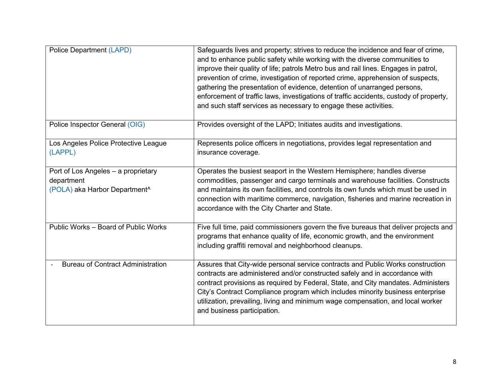| <b>Police Department (LAPD)</b>                 | Safeguards lives and property; strives to reduce the incidence and fear of crime,<br>and to enhance public safety while working with the diverse communities to<br>improve their quality of life; patrols Metro bus and rail lines. Engages in patrol,<br>prevention of crime, investigation of reported crime, apprehension of suspects,<br>gathering the presentation of evidence, detention of unarranged persons,<br>enforcement of traffic laws, investigations of traffic accidents, custody of property,<br>and such staff services as necessary to engage these activities. |
|-------------------------------------------------|-------------------------------------------------------------------------------------------------------------------------------------------------------------------------------------------------------------------------------------------------------------------------------------------------------------------------------------------------------------------------------------------------------------------------------------------------------------------------------------------------------------------------------------------------------------------------------------|
| Police Inspector General (OIG)                  | Provides oversight of the LAPD; Initiates audits and investigations.                                                                                                                                                                                                                                                                                                                                                                                                                                                                                                                |
| Los Angeles Police Protective League<br>(LAPPL) | Represents police officers in negotiations, provides legal representation and<br>insurance coverage.                                                                                                                                                                                                                                                                                                                                                                                                                                                                                |
| Port of Los Angeles - a proprietary             | Operates the busiest seaport in the Western Hemisphere; handles diverse                                                                                                                                                                                                                                                                                                                                                                                                                                                                                                             |
| department                                      | commodities, passenger and cargo terminals and warehouse facilities. Constructs                                                                                                                                                                                                                                                                                                                                                                                                                                                                                                     |
| (POLA) aka Harbor Department <sup>^</sup>       | and maintains its own facilities, and controls its own funds which must be used in<br>connection with maritime commerce, navigation, fisheries and marine recreation in<br>accordance with the City Charter and State.                                                                                                                                                                                                                                                                                                                                                              |
| Public Works - Board of Public Works            | Five full time, paid commissioners govern the five bureaus that deliver projects and<br>programs that enhance quality of life, economic growth, and the environment<br>including graffiti removal and neighborhood cleanups.                                                                                                                                                                                                                                                                                                                                                        |
| <b>Bureau of Contract Administration</b>        | Assures that City-wide personal service contracts and Public Works construction<br>contracts are administered and/or constructed safely and in accordance with<br>contract provisions as required by Federal, State, and City mandates. Administers<br>City's Contract Compliance program which includes minority business enterprise<br>utilization, prevailing, living and minimum wage compensation, and local worker<br>and business participation.                                                                                                                             |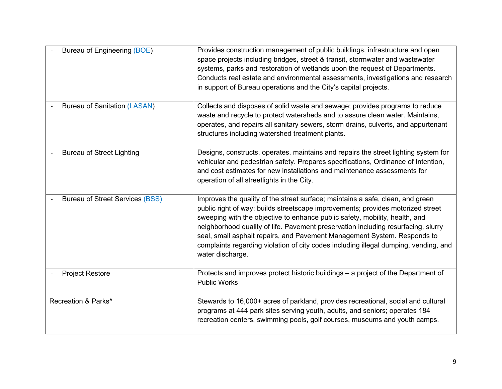| Bureau of Engineering (BOE)            | Provides construction management of public buildings, infrastructure and open<br>space projects including bridges, street & transit, stormwater and wastewater<br>systems, parks and restoration of wetlands upon the request of Departments.<br>Conducts real estate and environmental assessments, investigations and research<br>in support of Bureau operations and the City's capital projects.                                                                                                                          |
|----------------------------------------|-------------------------------------------------------------------------------------------------------------------------------------------------------------------------------------------------------------------------------------------------------------------------------------------------------------------------------------------------------------------------------------------------------------------------------------------------------------------------------------------------------------------------------|
| <b>Bureau of Sanitation (LASAN)</b>    | Collects and disposes of solid waste and sewage; provides programs to reduce<br>waste and recycle to protect watersheds and to assure clean water. Maintains,<br>operates, and repairs all sanitary sewers, storm drains, culverts, and appurtenant<br>structures including watershed treatment plants.                                                                                                                                                                                                                       |
| <b>Bureau of Street Lighting</b>       | Designs, constructs, operates, maintains and repairs the street lighting system for<br>vehicular and pedestrian safety. Prepares specifications, Ordinance of Intention,<br>and cost estimates for new installations and maintenance assessments for<br>operation of all streetlights in the City.                                                                                                                                                                                                                            |
| <b>Bureau of Street Services (BSS)</b> | Improves the quality of the street surface; maintains a safe, clean, and green<br>public right of way; builds streetscape improvements; provides motorized street<br>sweeping with the objective to enhance public safety, mobility, health, and<br>neighborhood quality of life. Pavement preservation including resurfacing, slurry<br>seal, small asphalt repairs, and Pavement Management System. Responds to<br>complaints regarding violation of city codes including illegal dumping, vending, and<br>water discharge. |
| <b>Project Restore</b>                 | Protects and improves protect historic buildings - a project of the Department of<br><b>Public Works</b>                                                                                                                                                                                                                                                                                                                                                                                                                      |
| Recreation & Parks <sup>^</sup>        | Stewards to 16,000+ acres of parkland, provides recreational, social and cultural<br>programs at 444 park sites serving youth, adults, and seniors; operates 184<br>recreation centers, swimming pools, golf courses, museums and youth camps.                                                                                                                                                                                                                                                                                |